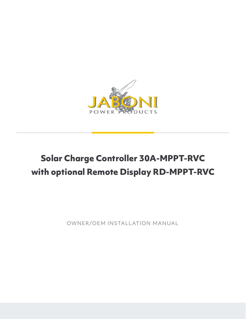

# **Solar Charge Controller 30A-MPPT-RVC with optional Remote Display RD-MPPT-RVC**

OWNER/OEM INSTALL ATION MANUAL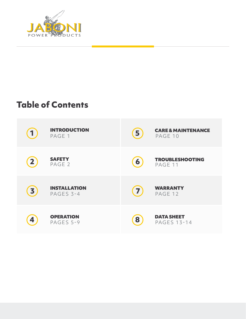

# **Table of Contents**

| 1            | <b>INTRODUCTION</b><br>PAGE 1    | 5                | <b>CARE &amp; MAINTENANCE</b><br>PAGE 10 |
|--------------|----------------------------------|------------------|------------------------------------------|
| $\mathbf{2}$ | <b>SAFETY</b><br>PAGE 2          | $\boldsymbol{6}$ | <b>TROUBLESHOOTING</b><br>PAGE 11        |
| 3            | <b>INSTALLATION</b><br>PAGES 3-4 | $\mathbf{7}$     | <b>WARRANTY</b><br>PAGE 12               |
| 4            | <b>OPERATION</b><br>PAGES 5-9    | 8                | <b>DATA SHEET</b><br><b>PAGES 13-14</b>  |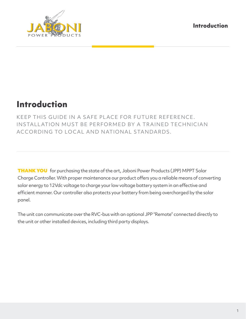**Introduction**



# **Introduction**

KEEP THIS GUIDE IN A SAFE PLACE FOR FUTURE REFERENCE. INSTALL ATION MUST BE PERFORMED BY A TRAINED TECHNICIAN ACCORDING TO LOCAL AND NATIONAL STANDARDS.

THANK YOU for purchasing the state of the art, Jaboni Power Products (JPP) MPPT Solar Charge Controller. With proper maintenance our product offers you a reliable means of converting solar energy to 12Vdc voltage to charge your low voltage battery system in an effective and efficient manner. Our controller also protects your battery from being overcharged by the solar panel.

The unit can communicate over the RVC-bus with an optional JPP "Remote" connected directly to the unit or other installed devices, including third party displays.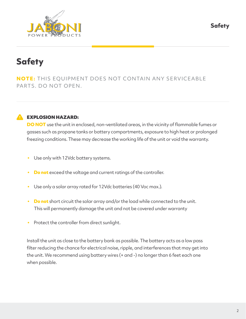**Safety**



# **Safety**

**NOTE:** THIS EQUIPMENT DOES NOT CONTAIN ANY SERVICEABLE PARTS. DO NOT OPEN.



## **A** EXPLOSION HAZARD:

**DO NOT** use the unit in enclosed, non-ventilated areas, in the vicinity of flammable fumes or gasses such as propane tanks or battery compartments, exposure to high heat or prolonged freezing conditions. These may decrease the working life of the unit or void the warranty.

- Use only with 12Vdc battery systems.
- **Do not** exceed the voltage and current ratings of the controller.
- Use only a solar array rated for 12Vdc batteries (40 Voc max.).
- **Do not** short circuit the solar array and/or the load while connected to the unit. This will permanently damage the unit and not be covered under warranty
- Protect the controller from direct sunlight.

Install the unit as close to the battery bank as possible. The battery acts as a low pass filter reducing the chance for electrical noise, ripple, and interferences that may get into the unit. We recommend using battery wires (+ and -) no longer than 6 feet each one when possible.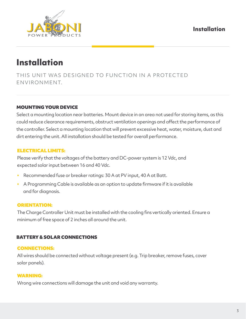

# **Installation**

THIS UNIT WAS DESIGNED TO FUNCTION IN A PROTECTED ENVIRONMENT.

## MOUNTING YOUR DEVICE

Select a mounting location near batteries. Mount device in an area not used for storing items, as this could reduce clearance requirements, obstruct ventilation openings and affect the performance of the controller. Select a mounting location that will prevent excessive heat, water, moisture, dust and dirt entering the unit. All installation should be tested for overall performance.

## ELECTRICAL LIMITS:

Please verify that the voltages of the battery and DC-power system is 12 Vdc, and expected solar input between 16 and 40 Vdc.

- Recommended fuse or breaker ratings: 30 A at PV input, 40 A at Batt.
- A Programming Cable is available as an option to update firmware if it is available and for diagnosis.

### ORIENTATION:

The Charge Controller Unit must be installed with the cooling fins vertically oriented. Ensure a minimum of free space of 2 inches all around the unit.

## BATTERY & SOLAR CONNECTIONS

## CONNECTIONS:

All wires should be connected without voltage present (e.g. Trip breaker, remove fuses, cover solar panels).

### WARNING:

Wrong wire connections will damage the unit and void any warranty.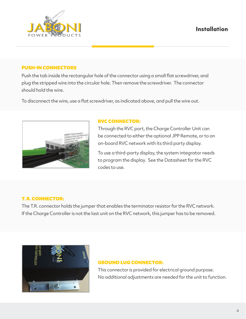## **Installation**



#### PUSH-IN CONNECTORS

Push the tab inside the rectangular hole of the connector using a small flat screwdriver, and plug the stripped wire into the circular hole. Then remove the screwdriver. The connector should hold the wire.

To disconnect the wire, use a flat screwdriver, as indicated above, and pull the wire out.



#### RVC CONNECTOR:

Through the RVC port, the Charge Controller Unit can be connected to either the optional JPP Remote, or to an on-board RVC network with its third party display.

To use a third-party display, the system integrator needs to program the display. See the Datasheet for the RVC codes to use.

## T. R. CONNECTOR:

The T.R. connector holds the jumper that enables the terminator resistor for the RVC network. If the Charge Controller is not the last unit on the RVC network, this jumper has to be removed.



### GROUND LUG CONNECTOR:

This connector is provided for electrical ground purpose. No additional adjustments are needed for the unit to function.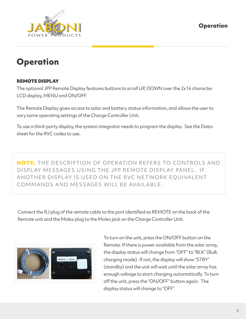

# **Operation**

## REMOTE DISPLAY

The optional JPP Remote Display features buttons to scroll UP, DOWN over the 2x16 character LCD display, MENU and ON/OFF.

The Remote Display gives access to solar and battery status information, and allows the user to vary some operating settings of the Charge Controller Unit.

To use a third-party display, the system integrator needs to program the display. See the Datasheet for the RVC codes to use.

**NOTE:** THE DESCRIPTION OF OPERATION REFERS TO CONTROLS AND DISPLAY MESSAGES USING THE JPP REMOTE DISPLAY PANEL. IF ANOTHER DISPLAY IS USED ON THE RVC NETWORK EQUIVALENT COMMANDS AND MESSAGES WILL BE AVAIL ABLE.

Connect the RJ plug of the remote cable to the port identified as REMOTE on the back of the Remote unit and the Molex plug to the Molex jack on the Charge Controller Unit.



To turn on the unit, press the ON/OFF button on the Remote. If there is power available from the solar array, the display status will change from "OFF" to "BLK" (Bulk charging mode). If not, the display will show "STBY" (standby) and the unit will wait until the solar array has enough voltage to start charging automatically. To turn off the unit, press the "ON/OFF" button again. The display status will change to "OFF".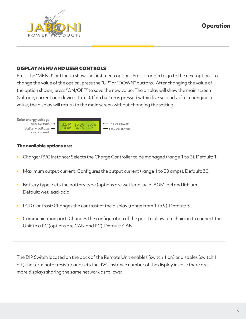## **Operation**



### DISPLAY MENU AND USER CONTROLS

Press the "MENU" button to show the first menu option. Press it again to go to the next option. To change the value of the option, press the "UP" or "DOWN" buttons. After changing the value of the option shown, press "ON/OFF" to save the new value. The display will show the main screen (voltage, current and device status). If no button is pressed within five seconds after changing a value, the display will return to the main screen without changing the setting.



## **The available options are:**

- Charger RVC instance: Selects the Charge Controller to be managed (range 1 to 3). Default: 1.
- Maximum output current: Configures the output current (range 1 to 30 amps). Default: 30.
- Battery type: Sets the battery type (options are wet lead-acid, AGM, gel and lithium. Default: wet lead-acid.
- LCD Contrast: Changes the contrast of the display (range from 1 to 9). Default: 5.
- Communication port: Changes the configuration of the port to allow a technician to connect the Unit to a PC (options are CAN and PC). Default: CAN.

The DIP Switch located on the back of the Remote Unit enables (switch 1 on) or disables (switch 1 off) the terminator resistor and sets the RVC instance number of the display in case there are more displays sharing the same network as follows: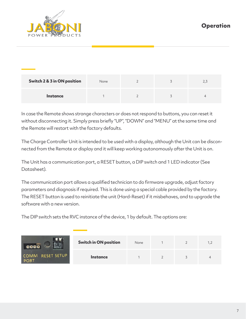

| Switch 2 & 3 in ON position | None |  | 2,3 |
|-----------------------------|------|--|-----|
| Instance                    |      |  |     |

In case the Remote shows strange characters or does not respond to buttons, you can reset it without disconnecting it. Simply press briefly "UP", "DOWN" and "MENU" at the same time and the Remote will restart with the factory defaults.

The Charge Controller Unit is intended to be used with a display, although the Unit can be disconnected from the Remote or display and it will keep working autonomously after the Unit is on.

The Unit has a communication port, a RESET button, a DIP switch and 1 LED indicator (See Datasheet).

The communication port allows a qualified technician to do firmware upgrade, adjust factory parameters and diagnosis if required. This is done using a special cable provided by the factory. The RESET button is used to reinitiate the unit (Hard-Reset) if it misbehaves, and to upgrade the software with a new version.

The DIP switch sets the RVC instance of the device, 1 by default. The options are:

|                          | <b>Switch in ON position</b> | None |  |  |
|--------------------------|------------------------------|------|--|--|
| COMM RESET SETUP<br>PORT | <b>Instance</b>              |      |  |  |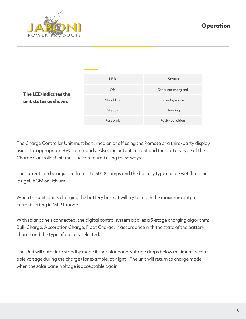**Operation**



|                                                | <b>LED</b> | <b>Status</b>        |
|------------------------------------------------|------------|----------------------|
| The LED indicates the<br>unit status as shown: | Off        | Off or not energized |
|                                                | Slow blink | Standby mode         |
|                                                | Steady     | Charging             |
|                                                | Fast blink | Faulty condition     |

The Charge Controller Unit must be turned on or off using the Remote or a third-party display using the appropriate RVC commands. Also, the output current and the battery type of the Charge Controller Unit must be configured using these ways.

The current can be adjusted from 1 to 30 DC amps and the battery type can be wet (lead-acid), gel, AGM or Lithium.

When the unit starts charging the battery bank, it will try to reach the maximum output current setting in MPPT mode.

With solar panels connected, the digital control system applies a 3-stage charging algorithm: Bulk Charge, Absorption Charge, Float Charge, in accordance with the state of the battery charge and the type of battery selected.

The Unit will enter into standby mode if the solar panel voltage drops below minimum acceptable voltage during the charge (for example, at night). The unit will return to charge mode when the solar panel voltage is acceptable again.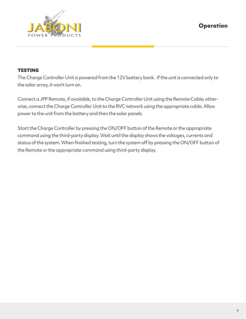

## **TESTING**

The Charge Controller Unit is powered from the 12V battery bank. If the unit is connected only to the solar array, it won't turn on.

Connect a JPP Remote, if available, to the Charge Controller Unit using the Remote Cable; otherwise, connect the Charge Controller Unit to the RVC network using the appropriate cable. Allow power to the unit from the battery and then the solar panels.

Start the Charge Controller by pressing the ON/OFF button of the Remote or the appropriate command using the third-party display. Wait until the display shows the voltages, currents and status of the system. When finished testing, turn the system off by pressing the ON/OFF button of the Remote or the appropriate command using third-party display.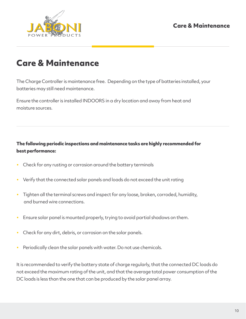**Care & Maintenance**



## **Care & Maintenance**

The Charge Controller is maintenance free. Depending on the type of batteries installed, your batteries may still need maintenance.

Ensure the controller is installed INDOORS in a dry location and away from heat and moisture sources.

## **The following periodic inspections and maintenance tasks are highly recommended for best performance:**

- Check for any rusting or corrosion around the battery terminals
- Verify that the connected solar panels and loads do not exceed the unit rating
- Tighten all the terminal screws and inspect for any loose, broken, corroded, humidity, and burned wire connections.
- Ensure solar panel is mounted properly, trying to avoid partial shadows on them.
- Check for any dirt, debris, or corrosion on the solar panels.
- Periodically clean the solar panels with water. Do not use chemicals.

It is recommended to verify the battery state of charge regularly, that the connected DC loads do not exceed the maximum rating of the unit, and that the average total power consumption of the DC loads is less than the one that can be produced by the solar panel array.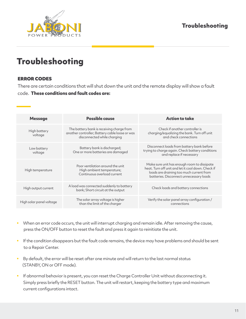## **Troubleshooting**



## **Troubleshooting**

## ERROR CODES

There are certain conditions that will shut down the unit and the remote display will show a fault code. **These conditions and fault codes are:**

| <b>Message</b>           | <b>Possible cause</b>                                                                                                      | <b>Action to take</b>                                                                                                                                                                    |
|--------------------------|----------------------------------------------------------------------------------------------------------------------------|------------------------------------------------------------------------------------------------------------------------------------------------------------------------------------------|
| High battery<br>voltage  | The battery bank is receiving charge from<br>another controller; Battery cable loose or was<br>disconnected while charging | Check if another controller is<br>charging/equalizing the bank. Turn off unit<br>and check connections                                                                                   |
| Low battery<br>voltage   | Battery bank is discharged;<br>One or more batteries are damaged                                                           | Disconnect loads from battery bank before<br>trying to charge again. Check battery conditions<br>and replace if necessary                                                                |
| High temperature         | Poor ventilation around the unit<br>High ambient temperature;<br>Continuous overload current                               | Make sure unit has enough room to dissipate<br>heat. Turn off unit and let it cool down. Check if<br>loads are draining too much current from<br>batteries. Disconnect unnecessary loads |
| High output current      | A load was connected suddenly to battery<br>bank; Short circuit at the output                                              | Check loads and battery connections                                                                                                                                                      |
| High solar panel voltage | The solar array voltage is higher<br>than the limit of the charger                                                         | Verify the solar panel array configuration /<br>connections                                                                                                                              |

- When an error code occurs, the unit will interrupt charging and remain idle. After removing the cause, press the ON/OFF button to reset the fault and press it again to reinitiate the unit.
- If the condition disappears but the fault code remains, the device may have problems and should be sent to a Repair Center.
- By default, the error will be reset after one minute and will return to the last normal status (STANBY, ON or OFF mode).
- If abnormal behavior is present, you can reset the Charge Controller Unit without disconnecting it. Simply press briefly the RESET button. The unit will restart, keeping the battery type and maximum current configurations intact.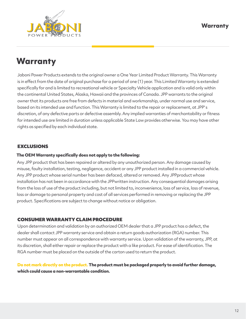

# **Warranty**

Jaboni Power Products extends to the original owner a One Year Limited Product Warranty. This Warranty is in effect from the date of original purchase for a period of one (1) year. This Limited Warranty is extended specifically for and is limited to recreational vehicle or Specialty Vehicle application and is valid only within the continental United States, Alaska, Hawaii and the provinces of Canada. JPP warrants to the original owner that its products are free from defects in material and workmanship, under normal use and service, based on its intended use and function. This Warranty is limited to the repair or replacement, at JPP' s discretion, of any defective parts or defective assembly. Any implied warranties of merchantability or fitness for intended use are limited in duration unless applicable State Law provides otherwise. You may have other rights as specified by each individual state.

## EXCLUSIONS

#### **The OEM Warranty specifically does not apply to the following:**

Any JPP product that has been repaired or altered by any unauthorized person. Any damage caused by misuse, faulty installation, testing, negligence, accident or any JPP product installed in a commercial vehicle. Any JPP product whose serial number has been defaced, altered or removed. Any JPPproduct whose installation has not been in accordance with the JPPwritten instruction. Any consequential damages arising from the loss of use of the product including, but not limited to, inconvenience, loss of service, loss of revenue, loss or damage to personal property and cost of all services performed in removing or replacing the JPP product. Specifications are subject to change without notice or obligation.

### CONSUMER WARRANTY CLAIM PROCEDURE

Upon determination and validation by an authorized OEM dealer that a JPP product has a defect, the dealer shall contact JPP warranty service and obtain a return goods authorization (RGA) number. This number must appear on all correspondence with warranty service. Upon validation of the warranty, JPP, at its discretion, shall either repair or replace the product with a like product. For ease of identification. The RGA number must be placed on the outside of the carton used to return the product.

### **Do not mark directly on the product. The product must be packaged properly to avoid further damage, which could cause a non-warrantable condition.**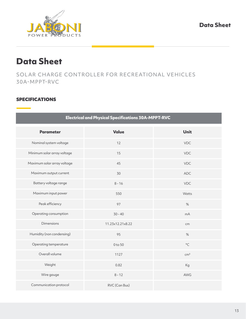

## **Data Sheet**

SOLAR CHARGE CONTROLLER FOR RECREATIONAL VEHICLES 30A-MPPT-RVC

## SPECIFICATIONS

| <b>Electrical and Physical Specifications 30A-MPPT-RVC</b> |                  |                 |  |  |
|------------------------------------------------------------|------------------|-----------------|--|--|
| <b>Parameter</b>                                           | <b>Value</b>     | <b>Unit</b>     |  |  |
| Nominal system voltage                                     | 12               | <b>VDC</b>      |  |  |
| Minimum solar array voltage                                | 15               | <b>VDC</b>      |  |  |
| Maximum solar array voltage                                | 45               | <b>VDC</b>      |  |  |
| Maximum output current                                     | 30               | <b>ADC</b>      |  |  |
| Battery voltage range                                      | $8 - 16$         | VDC             |  |  |
| Maximum input power                                        | 550              | Watts           |  |  |
| Peak efficiency                                            | 97               | $\%$            |  |  |
| Operating consumption                                      | $30 - 40$        | mA              |  |  |
| <b>Dimensions</b>                                          | 11.23x12.21x8.22 | cm              |  |  |
| Humidity (non condensing)                                  | 95               | $\%$            |  |  |
| Operating temperature                                      | 0 to 50          | $^{\circ}$ C    |  |  |
| Overall volume                                             | 1127             | cm <sup>3</sup> |  |  |
| Weight                                                     | 0.82             | Kg              |  |  |
| Wire gauge                                                 | $8 - 12$         | AWG             |  |  |
| Communication protocol                                     | RVC (Can Bus)    |                 |  |  |